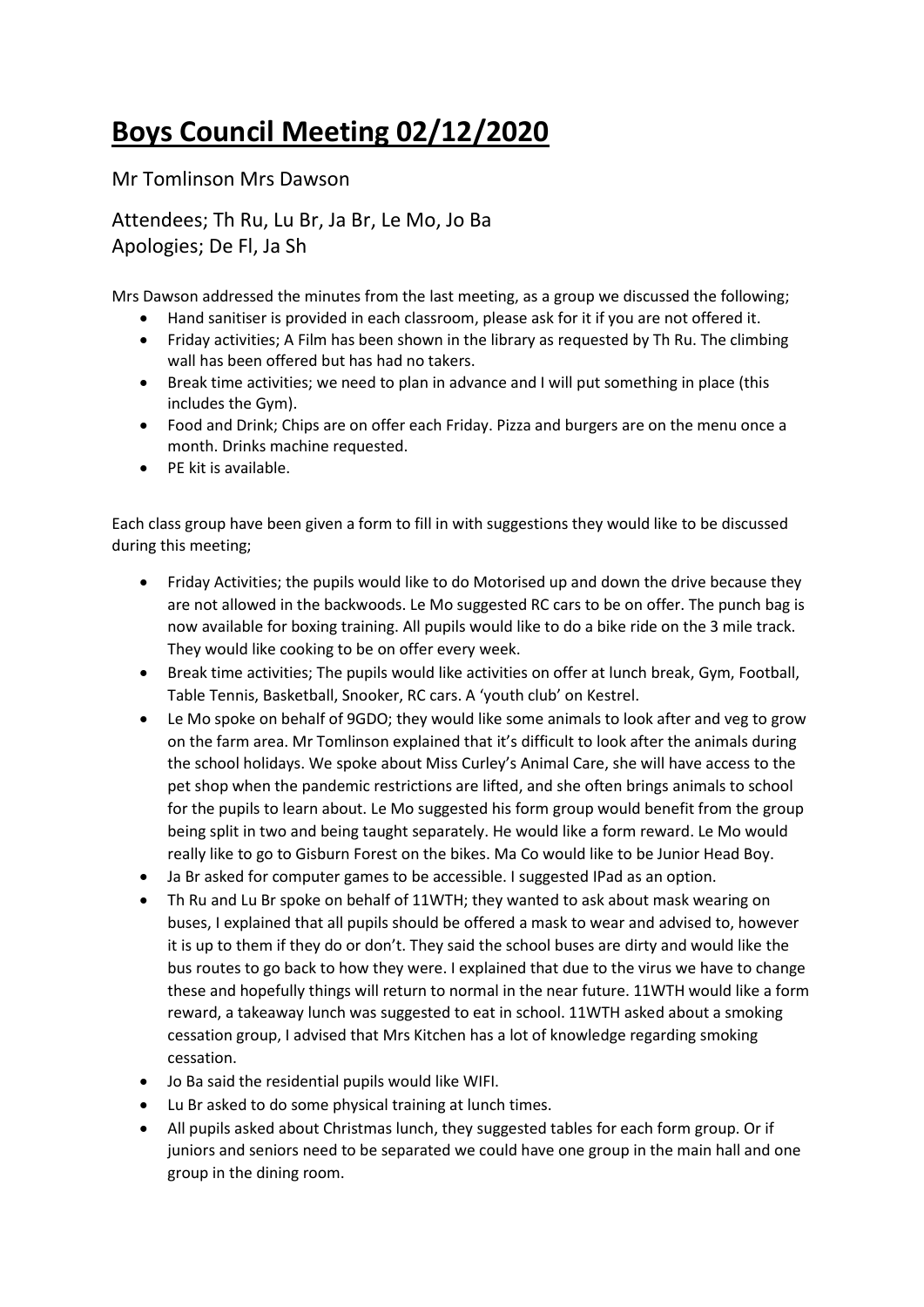## **Boys Council Meeting 02/12/2020**

Mr Tomlinson Mrs Dawson

Attendees; Th Ru, Lu Br, Ja Br, Le Mo, Jo Ba Apologies; De Fl, Ja Sh

Mrs Dawson addressed the minutes from the last meeting, as a group we discussed the following;

- Hand sanitiser is provided in each classroom, please ask for it if you are not offered it.
- Friday activities; A Film has been shown in the library as requested by Th Ru. The climbing wall has been offered but has had no takers.
- Break time activities; we need to plan in advance and I will put something in place (this includes the Gym).
- Food and Drink; Chips are on offer each Friday. Pizza and burgers are on the menu once a month. Drinks machine requested.
- PE kit is available.

Each class group have been given a form to fill in with suggestions they would like to be discussed during this meeting;

- Friday Activities; the pupils would like to do Motorised up and down the drive because they are not allowed in the backwoods. Le Mo suggested RC cars to be on offer. The punch bag is now available for boxing training. All pupils would like to do a bike ride on the 3 mile track. They would like cooking to be on offer every week.
- Break time activities; The pupils would like activities on offer at lunch break, Gym, Football, Table Tennis, Basketball, Snooker, RC cars. A 'youth club' on Kestrel.
- Le Mo spoke on behalf of 9GDO; they would like some animals to look after and veg to grow on the farm area. Mr Tomlinson explained that it's difficult to look after the animals during the school holidays. We spoke about Miss Curley's Animal Care, she will have access to the pet shop when the pandemic restrictions are lifted, and she often brings animals to school for the pupils to learn about. Le Mo suggested his form group would benefit from the group being split in two and being taught separately. He would like a form reward. Le Mo would really like to go to Gisburn Forest on the bikes. Ma Co would like to be Junior Head Boy.
- Ja Br asked for computer games to be accessible. I suggested IPad as an option.
- Th Ru and Lu Br spoke on behalf of 11WTH; they wanted to ask about mask wearing on buses, I explained that all pupils should be offered a mask to wear and advised to, however it is up to them if they do or don't. They said the school buses are dirty and would like the bus routes to go back to how they were. I explained that due to the virus we have to change these and hopefully things will return to normal in the near future. 11WTH would like a form reward, a takeaway lunch was suggested to eat in school. 11WTH asked about a smoking cessation group, I advised that Mrs Kitchen has a lot of knowledge regarding smoking cessation.
- Jo Ba said the residential pupils would like WIFI.
- Lu Br asked to do some physical training at lunch times.
- All pupils asked about Christmas lunch, they suggested tables for each form group. Or if juniors and seniors need to be separated we could have one group in the main hall and one group in the dining room.